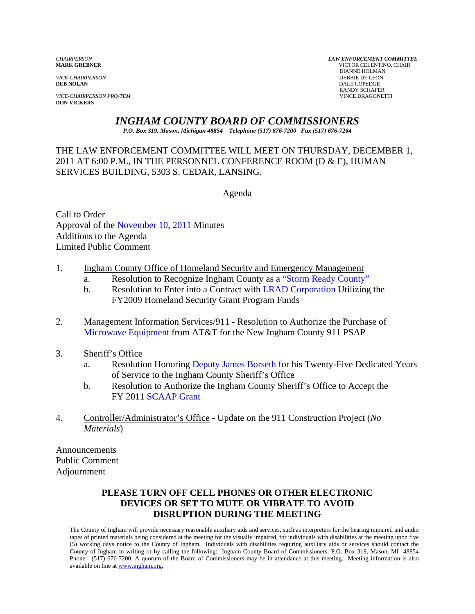*VICE-CHAIRPERSON*<br>**DEB NOLAN** 

*VICE-CHAIRPERSON PRO-TEM* VINCE DRAGONETTI **DON VICKERS** 

*CHAIRPERSON LAW ENFORCEMENT COMMITTEE* **MARK GREBNER** VICTOR CELENTINO, CHAIR **DIANNE HOLMAN<br>DEBBIE DE LEON DALE COPEDGE** RANDY SCHAFER

## *INGHAM COUNTY BOARD OF COMMISSIONERS*

*P.O. Box 319. Mason, Michigan 48854 Telephone (517) 676-7200 Fax (517) 676-7264*

THE LAW ENFORCEMENT COMMITTEE WILL MEET ON THURSDAY, DECEMBER 1, 2011 AT 6:00 P.M., IN THE PERSONNEL CONFERENCE ROOM (D & E), HUMAN SERVICES BUILDING, 5303 S. CEDAR, LANSING.

Agenda

Call to Order Approval of [the November 10, 2011 Minutes](#page-1-0)  Additions to the Agenda Limited Public Comment

- 1. Ingham County Office of Homeland Security and Emergency Management
	- a. Resolution to Recognize Ingham County as a ["Storm Ready County"](#page-4-0)
	- b. Resolution to Enter into a Contract wit[h LRAD Corporation Utilizi](#page-6-0)ng the FY2009 Homeland Security Grant Program Funds
- 2. [Management Information Service](#page-8-0)s/911 Resolution to Authorize the Purchase of Microwave Equipment from AT&T for the New Ingham County 911 PSAP
- 3. Sheriff's Office
	- a. Resolution Honori[ng Deputy James Borseth for his Twenty-](#page-10-0)Five Dedicated Years of Service to the Ingham County Sheriff's Office
	- b. Resolution to Authorize the Ingham County Sheriff's Office to Accept the FY 20[11 SCAAP Grant](#page-11-0)
- 4. Controller/Administrator's Office Update on the 911 Construction Project (*No Materials*)

Announcements Public Comment Adjournment

## **PLEASE TURN OFF CELL PHONES OR OTHER ELECTRONIC DEVICES OR SET TO MUTE OR VIBRATE TO AVOID DISRUPTION DURING THE MEETING**

The County of Ingham will provide necessary reasonable auxiliary aids and services, such as interpreters for the hearing impaired and audio tapes of printed materials being considered at the meeting for the visually impaired, for individuals with disabilities at the meeting upon five (5) working days notice to the County of Ingham. Individuals with disabilities requiring auxiliary aids or services should contact the County of Ingham in writing or by calling the following: Ingham County Board of Commissioners, P.O. Box 319, Mason, MI 48854 Phone: (517) 676-7200. A quorum of the Board of Commissioners may be in attendance at this meeting. Meeting information is also available on line at www.ingham.org.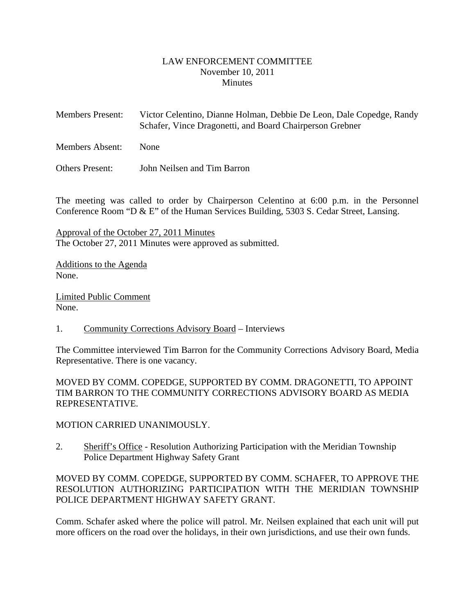#### LAW ENFORCEMENT COMMITTEE November 10, 2011 **Minutes**

- <span id="page-1-0"></span>Members Present: Victor Celentino, Dianne Holman, Debbie De Leon, Dale Copedge, Randy Schafer, Vince Dragonetti, and Board Chairperson Grebner
- Members Absent: None

Others Present: John Neilsen and Tim Barron

The meeting was called to order by Chairperson Celentino at 6:00 p.m. in the Personnel Conference Room "D & E" of the Human Services Building, 5303 S. Cedar Street, Lansing.

Approval of the October 27, 2011 Minutes The October 27, 2011 Minutes were approved as submitted.

Additions to the Agenda None.

Limited Public Comment None.

1. Community Corrections Advisory Board – Interviews

The Committee interviewed Tim Barron for the Community Corrections Advisory Board, Media Representative. There is one vacancy.

MOVED BY COMM. COPEDGE, SUPPORTED BY COMM. DRAGONETTI, TO APPOINT TIM BARRON TO THE COMMUNITY CORRECTIONS ADVISORY BOARD AS MEDIA REPRESENTATIVE.

#### MOTION CARRIED UNANIMOUSLY.

2. Sheriff's Office - Resolution Authorizing Participation with the Meridian Township Police Department Highway Safety Grant

MOVED BY COMM. COPEDGE, SUPPORTED BY COMM. SCHAFER, TO APPROVE THE RESOLUTION AUTHORIZING PARTICIPATION WITH THE MERIDIAN TOWNSHIP POLICE DEPARTMENT HIGHWAY SAFETY GRANT.

Comm. Schafer asked where the police will patrol. Mr. Neilsen explained that each unit will put more officers on the road over the holidays, in their own jurisdictions, and use their own funds.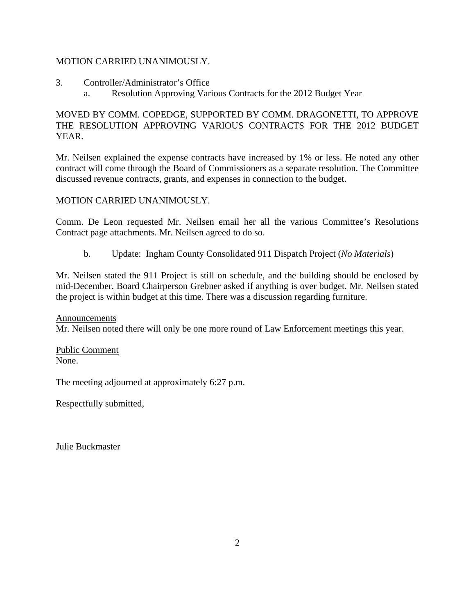#### MOTION CARRIED UNANIMOUSLY.

- 3. Controller/Administrator's Office
	- a. Resolution Approving Various Contracts for the 2012 Budget Year

## MOVED BY COMM. COPEDGE, SUPPORTED BY COMM. DRAGONETTI, TO APPROVE THE RESOLUTION APPROVING VARIOUS CONTRACTS FOR THE 2012 BUDGET YEAR.

Mr. Neilsen explained the expense contracts have increased by 1% or less. He noted any other contract will come through the Board of Commissioners as a separate resolution. The Committee discussed revenue contracts, grants, and expenses in connection to the budget.

MOTION CARRIED UNANIMOUSLY.

Comm. De Leon requested Mr. Neilsen email her all the various Committee's Resolutions Contract page attachments. Mr. Neilsen agreed to do so.

b. Update: Ingham County Consolidated 911 Dispatch Project (*No Materials*)

Mr. Neilsen stated the 911 Project is still on schedule, and the building should be enclosed by mid-December. Board Chairperson Grebner asked if anything is over budget. Mr. Neilsen stated the project is within budget at this time. There was a discussion regarding furniture.

Announcements

Mr. Neilsen noted there will only be one more round of Law Enforcement meetings this year.

Public Comment None.

The meeting adjourned at approximately 6:27 p.m.

Respectfully submitted,

Julie Buckmaster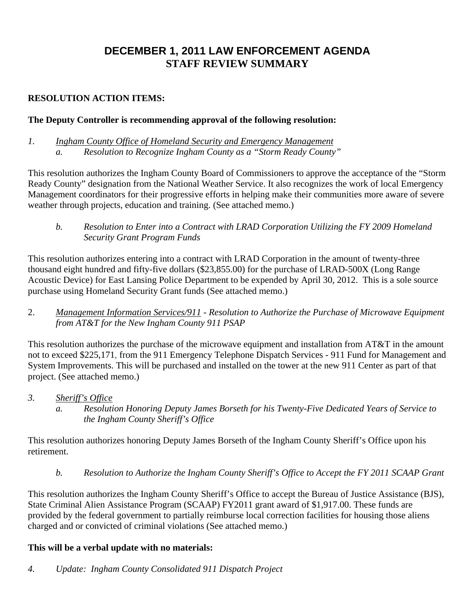## **DECEMBER 1, 2011 LAW ENFORCEMENT AGENDA STAFF REVIEW SUMMARY**

## **RESOLUTION ACTION ITEMS:**

## **The Deputy Controller is recommending approval of the following resolution:**

*1. Ingham County Office of Homeland Security and Emergency Management a. Resolution to Recognize Ingham County as a "Storm Ready County"* 

This resolution authorizes the Ingham County Board of Commissioners to approve the acceptance of the "Storm Ready County" designation from the National Weather Service. It also recognizes the work of local Emergency Management coordinators for their progressive efforts in helping make their communities more aware of severe weather through projects, education and training. (See attached memo.)

*b. Resolution to Enter into a Contract with LRAD Corporation Utilizing the FY 2009 Homeland Security Grant Program Funds* 

This resolution authorizes entering into a contract with LRAD Corporation in the amount of twenty-three thousand eight hundred and fifty-five dollars (\$23,855.00) for the purchase of LRAD-500X (Long Range Acoustic Device) for East Lansing Police Department to be expended by April 30, 2012. This is a sole source purchase using Homeland Security Grant funds (See attached memo.)

2. *Management Information Services/911 - Resolution to Authorize the Purchase of Microwave Equipment from AT&T for the New Ingham County 911 PSAP* 

This resolution authorizes the purchase of the microwave equipment and installation from AT&T in the amount not to exceed \$225,171, from the 911 Emergency Telephone Dispatch Services - 911 Fund for Management and System Improvements. This will be purchased and installed on the tower at the new 911 Center as part of that project. (See attached memo.)

- *3. Sheriff's Office* 
	- *a. Resolution Honoring Deputy James Borseth for his Twenty-Five Dedicated Years of Service to the Ingham County Sheriff's Office*

This resolution authorizes honoring Deputy James Borseth of the Ingham County Sheriff's Office upon his retirement.

*b. Resolution to Authorize the Ingham County Sheriff's Office to Accept the FY 2011 SCAAP Grant* 

This resolution authorizes the Ingham County Sheriff's Office to accept the Bureau of Justice Assistance (BJS), State Criminal Alien Assistance Program (SCAAP) FY2011 grant award of \$1,917.00. These funds are provided by the federal government to partially reimburse local correction facilities for housing those aliens charged and or convicted of criminal violations (See attached memo.)

#### **This will be a verbal update with no materials:**

*4. Update: Ingham County Consolidated 911 Dispatch Project*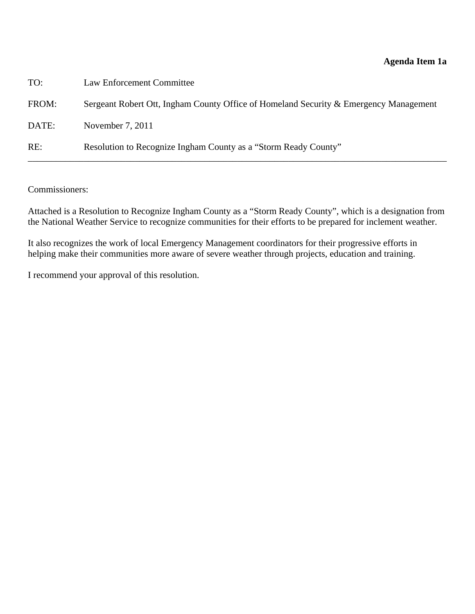<span id="page-4-0"></span>

| TO:   | Law Enforcement Committee                                                             |
|-------|---------------------------------------------------------------------------------------|
| FROM: | Sergeant Robert Ott, Ingham County Office of Homeland Security & Emergency Management |
| DATE: | November 7, 2011                                                                      |
| RE:   | Resolution to Recognize Ingham County as a "Storm Ready County"                       |

Commissioners:

Attached is a Resolution to Recognize Ingham County as a "Storm Ready County", which is a designation from the National Weather Service to recognize communities for their efforts to be prepared for inclement weather.

It also recognizes the work of local Emergency Management coordinators for their progressive efforts in helping make their communities more aware of severe weather through projects, education and training.

I recommend your approval of this resolution.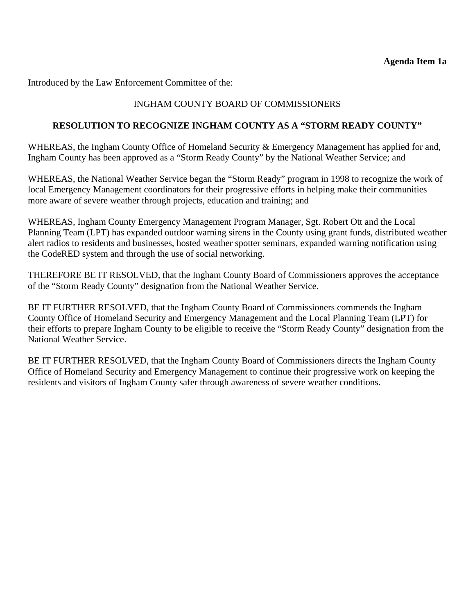Introduced by the Law Enforcement Committee of the:

## INGHAM COUNTY BOARD OF COMMISSIONERS

#### **RESOLUTION TO RECOGNIZE INGHAM COUNTY AS A "STORM READY COUNTY"**

WHEREAS, the Ingham County Office of Homeland Security & Emergency Management has applied for and, Ingham County has been approved as a "Storm Ready County" by the National Weather Service; and

WHEREAS, the National Weather Service began the "Storm Ready" program in 1998 to recognize the work of local Emergency Management coordinators for their progressive efforts in helping make their communities more aware of severe weather through projects, education and training; and

WHEREAS, Ingham County Emergency Management Program Manager, Sgt. Robert Ott and the Local Planning Team (LPT) has expanded outdoor warning sirens in the County using grant funds, distributed weather alert radios to residents and businesses, hosted weather spotter seminars, expanded warning notification using the CodeRED system and through the use of social networking.

THEREFORE BE IT RESOLVED, that the Ingham County Board of Commissioners approves the acceptance of the "Storm Ready County" designation from the National Weather Service.

BE IT FURTHER RESOLVED, that the Ingham County Board of Commissioners commends the Ingham County Office of Homeland Security and Emergency Management and the Local Planning Team (LPT) for their efforts to prepare Ingham County to be eligible to receive the "Storm Ready County" designation from the National Weather Service.

BE IT FURTHER RESOLVED, that the Ingham County Board of Commissioners directs the Ingham County Office of Homeland Security and Emergency Management to continue their progressive work on keeping the residents and visitors of Ingham County safer through awareness of severe weather conditions.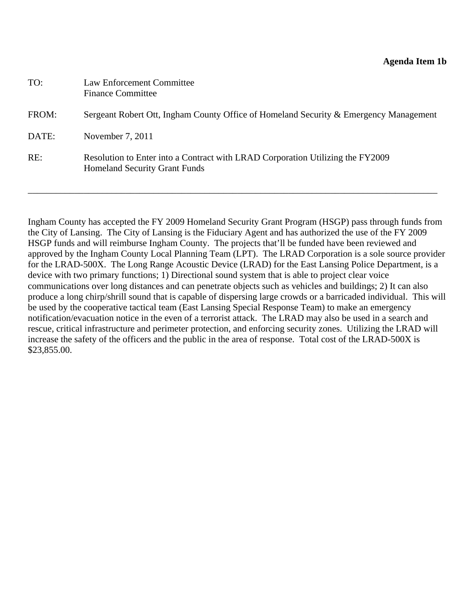#### **Agenda Item 1b**

<span id="page-6-0"></span>

| TO:   | Law Enforcement Committee<br><b>Finance Committee</b>                                                                  |
|-------|------------------------------------------------------------------------------------------------------------------------|
| FROM: | Sergeant Robert Ott, Ingham County Office of Homeland Security & Emergency Management                                  |
| DATE: | November 7, 2011                                                                                                       |
| RE:   | Resolution to Enter into a Contract with LRAD Corporation Utilizing the FY2009<br><b>Homeland Security Grant Funds</b> |

Ingham County has accepted the FY 2009 Homeland Security Grant Program (HSGP) pass through funds from the City of Lansing. The City of Lansing is the Fiduciary Agent and has authorized the use of the FY 2009 HSGP funds and will reimburse Ingham County. The projects that'll be funded have been reviewed and approved by the Ingham County Local Planning Team (LPT). The LRAD Corporation is a sole source provider for the LRAD-500X. The Long Range Acoustic Device (LRAD) for the East Lansing Police Department, is a device with two primary functions; 1) Directional sound system that is able to project clear voice communications over long distances and can penetrate objects such as vehicles and buildings; 2) It can also produce a long chirp/shrill sound that is capable of dispersing large crowds or a barricaded individual. This will be used by the cooperative tactical team (East Lansing Special Response Team) to make an emergency notification/evacuation notice in the even of a terrorist attack. The LRAD may also be used in a search and rescue, critical infrastructure and perimeter protection, and enforcing security zones. Utilizing the LRAD will increase the safety of the officers and the public in the area of response. Total cost of the LRAD-500X is \$23,855.00.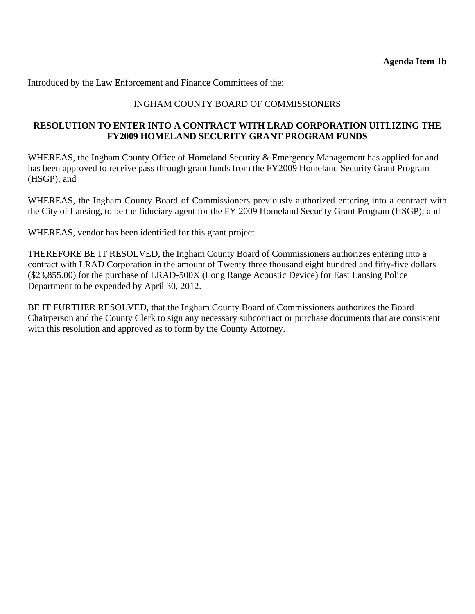Introduced by the Law Enforcement and Finance Committees of the:

#### INGHAM COUNTY BOARD OF COMMISSIONERS

#### **RESOLUTION TO ENTER INTO A CONTRACT WITH LRAD CORPORATION UITLIZING THE FY2009 HOMELAND SECURITY GRANT PROGRAM FUNDS**

WHEREAS, the Ingham County Office of Homeland Security & Emergency Management has applied for and has been approved to receive pass through grant funds from the FY2009 Homeland Security Grant Program (HSGP); and

WHEREAS, the Ingham County Board of Commissioners previously authorized entering into a contract with the City of Lansing, to be the fiduciary agent for the FY 2009 Homeland Security Grant Program (HSGP); and

WHEREAS, vendor has been identified for this grant project.

THEREFORE BE IT RESOLVED, the Ingham County Board of Commissioners authorizes entering into a contract with LRAD Corporation in the amount of Twenty three thousand eight hundred and fifty-five dollars (\$23,855.00) for the purchase of LRAD-500X (Long Range Acoustic Device) for East Lansing Police Department to be expended by April 30, 2012.

BE IT FURTHER RESOLVED, that the Ingham County Board of Commissioners authorizes the Board Chairperson and the County Clerk to sign any necessary subcontract or purchase documents that are consistent with this resolution and approved as to form by the County Attorney.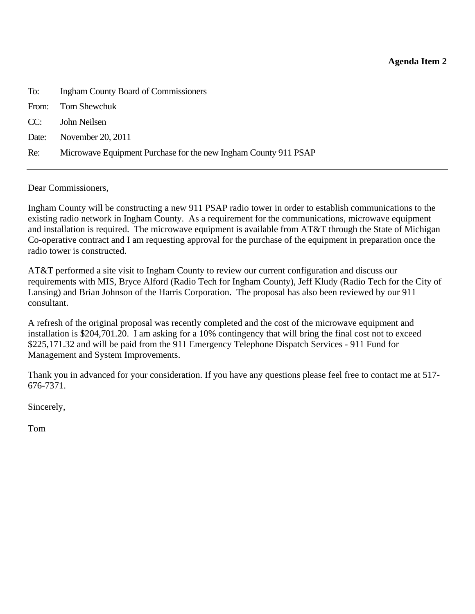#### **Agenda Item 2**

<span id="page-8-0"></span>

| To:   | <b>Ingham County Board of Commissioners</b>                     |
|-------|-----------------------------------------------------------------|
| From: | Tom Shewchuk                                                    |
| CC:   | John Neilsen                                                    |
| Date: | November 20, 2011                                               |
| Re:   | Microwave Equipment Purchase for the new Ingham County 911 PSAP |
|       |                                                                 |

Dear Commissioners,

Ingham County will be constructing a new 911 PSAP radio tower in order to establish communications to the existing radio network in Ingham County. As a requirement for the communications, microwave equipment and installation is required. The microwave equipment is available from AT&T through the State of Michigan Co-operative contract and I am requesting approval for the purchase of the equipment in preparation once the radio tower is constructed.

AT&T performed a site visit to Ingham County to review our current configuration and discuss our requirements with MIS, Bryce Alford (Radio Tech for Ingham County), Jeff Kludy (Radio Tech for the City of Lansing) and Brian Johnson of the Harris Corporation. The proposal has also been reviewed by our 911 consultant.

A refresh of the original proposal was recently completed and the cost of the microwave equipment and installation is \$204,701.20. I am asking for a 10% contingency that will bring the final cost not to exceed \$225,171.32 and will be paid from the 911 Emergency Telephone Dispatch Services - 911 Fund for Management and System Improvements.

Thank you in advanced for your consideration. If you have any questions please feel free to contact me at 517- 676-7371.

Sincerely,

Tom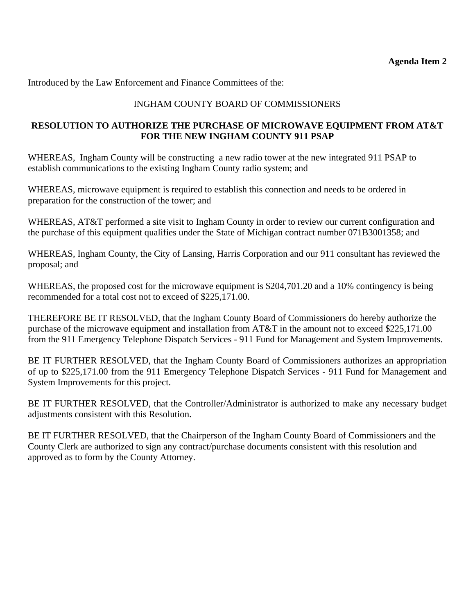Introduced by the Law Enforcement and Finance Committees of the:

## INGHAM COUNTY BOARD OF COMMISSIONERS

### **RESOLUTION TO AUTHORIZE THE PURCHASE OF MICROWAVE EQUIPMENT FROM AT&T FOR THE NEW INGHAM COUNTY 911 PSAP**

WHEREAS, Ingham County will be constructing a new radio tower at the new integrated 911 PSAP to establish communications to the existing Ingham County radio system; and

WHEREAS, microwave equipment is required to establish this connection and needs to be ordered in preparation for the construction of the tower; and

WHEREAS, AT&T performed a site visit to Ingham County in order to review our current configuration and the purchase of this equipment qualifies under the State of Michigan contract number 071B3001358; and

WHEREAS, Ingham County, the City of Lansing, Harris Corporation and our 911 consultant has reviewed the proposal; and

WHEREAS, the proposed cost for the microwave equipment is \$204,701.20 and a 10% contingency is being recommended for a total cost not to exceed of \$225,171.00.

THEREFORE BE IT RESOLVED, that the Ingham County Board of Commissioners do hereby authorize the purchase of the microwave equipment and installation from AT&T in the amount not to exceed \$225,171.00 from the 911 Emergency Telephone Dispatch Services - 911 Fund for Management and System Improvements.

BE IT FURTHER RESOLVED, that the Ingham County Board of Commissioners authorizes an appropriation of up to \$225,171.00 from the 911 Emergency Telephone Dispatch Services - 911 Fund for Management and System Improvements for this project.

BE IT FURTHER RESOLVED, that the Controller/Administrator is authorized to make any necessary budget adjustments consistent with this Resolution.

BE IT FURTHER RESOLVED, that the Chairperson of the Ingham County Board of Commissioners and the County Clerk are authorized to sign any contract/purchase documents consistent with this resolution and approved as to form by the County Attorney.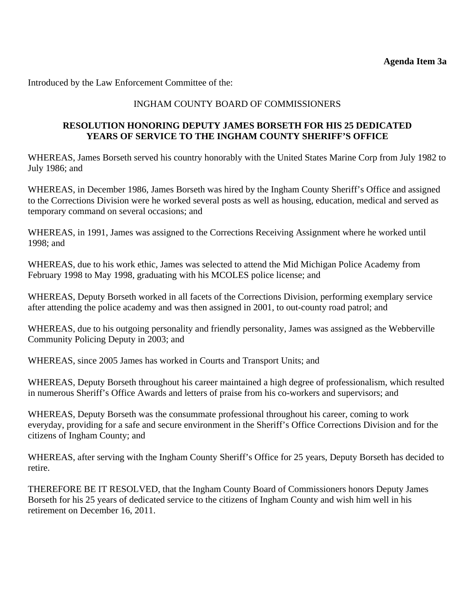<span id="page-10-0"></span>Introduced by the Law Enforcement Committee of the:

#### INGHAM COUNTY BOARD OF COMMISSIONERS

#### **RESOLUTION HONORING DEPUTY JAMES BORSETH FOR HIS 25 DEDICATED YEARS OF SERVICE TO THE INGHAM COUNTY SHERIFF'S OFFICE**

WHEREAS, James Borseth served his country honorably with the United States Marine Corp from July 1982 to July 1986; and

WHEREAS, in December 1986, James Borseth was hired by the Ingham County Sheriff's Office and assigned to the Corrections Division were he worked several posts as well as housing, education, medical and served as temporary command on several occasions; and

WHEREAS, in 1991, James was assigned to the Corrections Receiving Assignment where he worked until 1998; and

WHEREAS, due to his work ethic, James was selected to attend the Mid Michigan Police Academy from February 1998 to May 1998, graduating with his MCOLES police license; and

WHEREAS, Deputy Borseth worked in all facets of the Corrections Division, performing exemplary service after attending the police academy and was then assigned in 2001, to out-county road patrol; and

WHEREAS, due to his outgoing personality and friendly personality, James was assigned as the Webberville Community Policing Deputy in 2003; and

WHEREAS, since 2005 James has worked in Courts and Transport Units; and

WHEREAS, Deputy Borseth throughout his career maintained a high degree of professionalism, which resulted in numerous Sheriff's Office Awards and letters of praise from his co-workers and supervisors; and

WHEREAS, Deputy Borseth was the consummate professional throughout his career, coming to work everyday, providing for a safe and secure environment in the Sheriff's Office Corrections Division and for the citizens of Ingham County; and

WHEREAS, after serving with the Ingham County Sheriff's Office for 25 years, Deputy Borseth has decided to retire.

THEREFORE BE IT RESOLVED, that the Ingham County Board of Commissioners honors Deputy James Borseth for his 25 years of dedicated service to the citizens of Ingham County and wish him well in his retirement on December 16, 2011.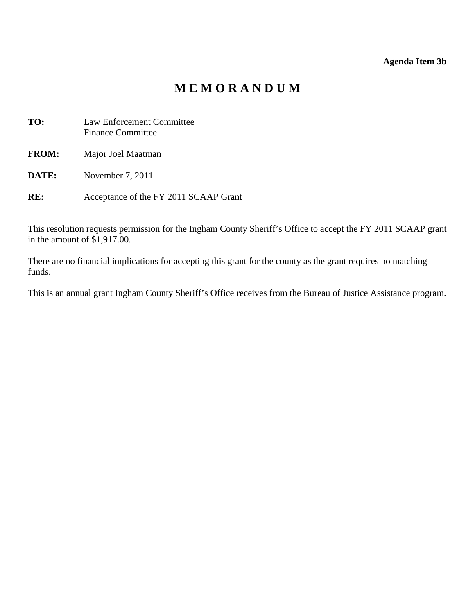#### **Agenda Item 3b**

# **M E M O R A N D U M**

<span id="page-11-0"></span>

| TO:          | <b>Law Enforcement Committee</b><br><b>Finance Committee</b> |
|--------------|--------------------------------------------------------------|
| <b>FROM:</b> | Major Joel Maatman                                           |
| DATE:        | November 7, 2011                                             |

**RE:** Acceptance of the FY 2011 SCAAP Grant

This resolution requests permission for the Ingham County Sheriff's Office to accept the FY 2011 SCAAP grant in the amount of \$1,917.00.

There are no financial implications for accepting this grant for the county as the grant requires no matching funds.

This is an annual grant Ingham County Sheriff's Office receives from the Bureau of Justice Assistance program.